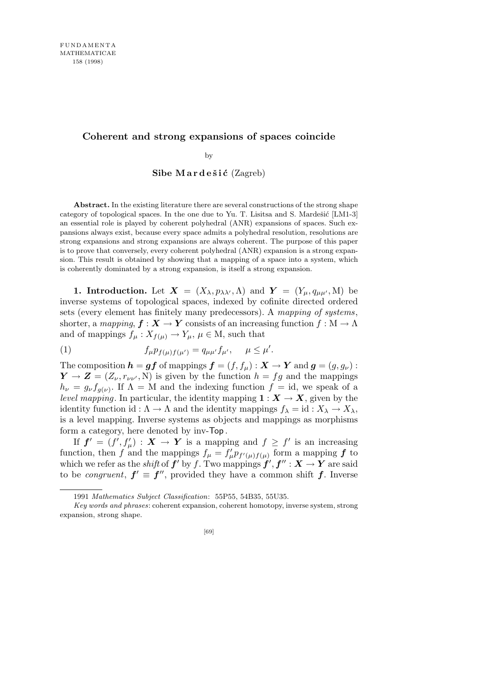# **Coherent and strong expansions of spaces coincide**

by

### Sibe Mardešić (Zagreb)

**Abstract.** In the existing literature there are several constructions of the strong shape category of topological spaces. In the one due to Yu. T. Lisitsa and S. Mardešić  $[LM1-3]$ an essential role is played by coherent polyhedral (ANR) expansions of spaces. Such expansions always exist, because every space admits a polyhedral resolution, resolutions are strong expansions and strong expansions are always coherent. The purpose of this paper is to prove that conversely, every coherent polyhedral (ANR) expansion is a strong expansion. This result is obtained by showing that a mapping of a space into a system, which is coherently dominated by a strong expansion, is itself a strong expansion.

**1. Introduction.** Let  $\mathbf{X} = (X_{\lambda}, p_{\lambda\lambda}, A)$  and  $\mathbf{Y} = (Y_{\mu}, q_{\mu\mu}, M)$  be inverse systems of topological spaces, indexed by cofinite directed ordered sets (every element has finitely many predecessors). A *mapping of systems*, shorter, a *mapping*,  $f: X \to Y$  consists of an increasing function  $f: M \to \Lambda$ and of mappings  $f_\mu: X_{f(\mu)} \to Y_\mu$ ,  $\mu \in M$ , such that

(1) 
$$
f_{\mu}p_{f(\mu)f(\mu')} = q_{\mu\mu'}f_{\mu'}, \quad \mu \leq \mu'.
$$

The composition  $h = gf$  of mappings  $f = (f, f_\mu) : X \to Y$  and  $g = (g, g_\nu)$ :  $Y \rightarrow Z = (Z_{\nu}, r_{\nu\nu'}, N)$  is given by the function  $h = fg$  and the mappings  $h_{\nu} = g_{\nu} f_{g(\nu)}$ . If  $\Lambda = M$  and the indexing function  $f = id$ , we speak of a *level mapping*. In particular, the identity mapping  $\mathbf{1}: \mathbf{X} \to \mathbf{X}$ , given by the identity function id :  $\Lambda \to \Lambda$  and the identity mappings  $f_{\lambda} = id : X_{\lambda} \to X_{\lambda}$ , is a level mapping. Inverse systems as objects and mappings as morphisms form a category, here denoted by inv-Top .

If  $f' = (f', f'_{\mu}) : X \to Y$  is a mapping and  $f \geq f'$  is an increasing function, then *f* and the mappings  $f_{\mu} = f'_{\mu} p_{f'(\mu)f(\mu)}$  form a mapping *f* to which we refer as the *shift* of  $f'$  by  $f$ . Two mappings  $f', f'' : X \to Y$  are said to be *congruent*,  $f' \equiv f''$ , provided they have a common shift *f*. Inverse

<sup>1991</sup> *Mathematics Subject Classification*: 55P55, 54B35, 55U35.

*Key words and phrases*: coherent expansion, coherent homotopy, inverse system, strong expansion, strong shape.

<sup>[69]</sup>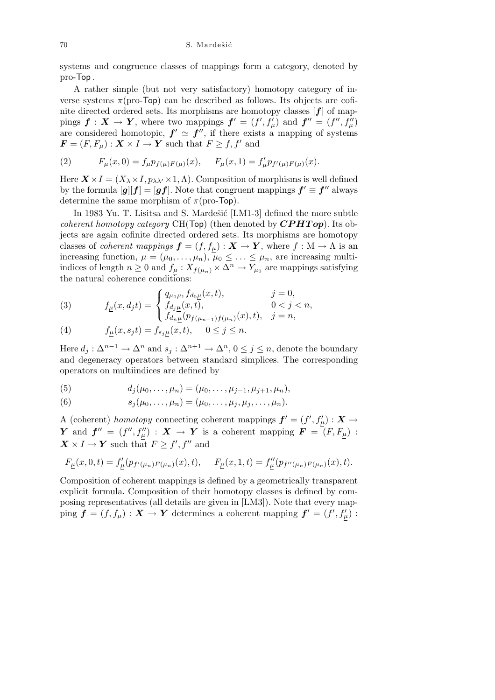systems and congruence classes of mappings form a category, denoted by pro-Top .

A rather simple (but not very satisfactory) homotopy category of inverse systems  $\pi$ (pro-Top) can be described as follows. Its objects are cofinite directed ordered sets. Its morphisms are homotopy classes [*f*] of mappings  $f: X \to Y$ , where two mappings  $f' = (f', f'_{\mu})$  and  $f'' = (f'', f''_{\mu})$ are considered homotopic,  $f' \simeq f''$ , if there exists a mapping of systems  $\mathbf{F} = (F, F_{\mu}) : \mathbf{X} \times I \to \mathbf{Y}$  such that  $F \geq f, f'$  and

(2) 
$$
F_{\mu}(x,0) = f_{\mu}p_{f(\mu)F(\mu)}(x), \quad F_{\mu}(x,1) = f'_{\mu}p_{f'(\mu)F(\mu)}(x).
$$

Here  $\mathbf{X} \times I = (X_{\lambda} \times I, p_{\lambda \lambda'} \times 1, \Lambda)$ . Composition of morphisms is well defined by the formula  $[g][f] = [gf]$ . Note that congruent mappings  $f' \equiv f''$  always determine the same morphism of  $\pi$ (pro-Top).

In 1983 Yu. T. Lisitsa and S. Mardešić [LM1-3] defined the more subtle *coherent homotopy category* CH(Top) (then denoted by *CPHT op*). Its objects are again cofinite directed ordered sets. Its morphisms are homotopy classes of *coherent mappings*  $f = (f, f_{\underline{\mu}}) : X \to Y$ , where  $f : M \to \Lambda$  is an increasing function,  $\mu = (\mu_0, \dots, \mu_n), \bar{\mu}_0 \leq \dots \leq \mu_n$ , are increasing multiindices of length  $n \ge 0$  and  $f_\mu: X_{f(\mu_n)} \times \Delta^n \to Y_{\mu_0}$  are mappings satisfying the natural coherence conditions:

(3) 
$$
f_{\underline{\mu}}(x, d_j t) = \begin{cases} q_{\mu_0 \mu_1} f_{d_0 \underline{\mu}}(x, t), & j = 0, \\ f_{d_j \underline{\mu}}(x, t), & 0 < j < n, \\ f_{d_n \underline{\mu}}(p_{f(\mu_{n-1}) f(\mu_n)}(x), t), & j = n, \end{cases}
$$

(4) 
$$
f_{\underline{\mu}}(x,s_jt) = f_{s_j\underline{\mu}}(x,t), \quad 0 \le j \le n.
$$

Here  $d_j: \Delta^{n-1} \to \Delta^n$  and  $s_j: \Delta^{n+1} \to \Delta^n$ ,  $0 \leq j \leq n$ , denote the boundary and degeneracy operators between standard simplices. The corresponding operators on multiindices are defined by

(5) 
$$
d_j(\mu_0,\ldots,\mu_n)=(\mu_0,\ldots,\mu_{j-1},\mu_{j+1},\mu_n),
$$

(6) 
$$
s_j(\mu_0,\ldots,\mu_n)=(\mu_0,\ldots,\mu_j,\mu_j,\ldots,\mu_n).
$$

A (coherent) *homotopy* connecting coherent mappings  $f' = (f', f'_{\mu}) : X \rightarrow$ *Y* and  $f'' = (f'', f''_{\mu}) : X \to Y$  is a coherent mapping  $F = (F, F_{\mu}) :$  $X \times I \to Y$  such that  $F \geq f'$ ,  $f''$  and

$$
F_{\underline{\mu}}(x,0,t) = f'_{\underline{\mu}}(p_{f'(\mu_n)F(\mu_n)}(x),t), \quad F_{\underline{\mu}}(x,1,t) = f''_{\underline{\mu}}(p_{f''(\mu_n)F(\mu_n)}(x),t).
$$

Composition of coherent mappings is defined by a geometrically transparent explicit formula. Composition of their homotopy classes is defined by composing representatives (all details are given in [LM3]). Note that every map- $\text{ping } f = (f, f_\mu) : \mathbf{X} \to \mathbf{Y}$  determines a coherent mapping  $f' = (f', f'_\mu)$ :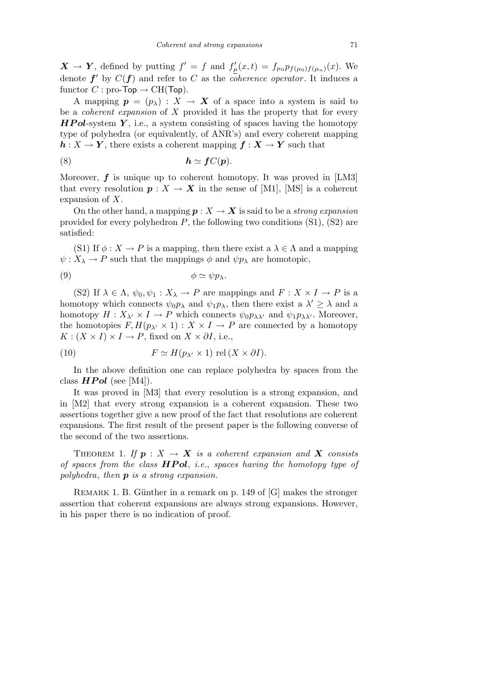*X* → *Y*, defined by putting  $f' = f$  and  $f'_{\mu}(x,t) = f_{\mu_0} p_{f(\mu_0)f(\mu_n)}(x)$ . We denote  $f'$  by  $C(f)$  and refer to *C* as the *coherence operator*. It induces a functor  $C$ : pro-Top  $\rightarrow$  CH(Top).

A mapping  $p = (p_{\lambda}) : X \to X$  of a space into a system is said to be a *coherent expansion* of *X* provided it has the property that for every *HP ol*-system *Y* , i.e., a system consisting of spaces having the homotopy type of polyhedra (or equivalently, of ANR's) and every coherent mapping  $h: X \to Y$ , there exists a coherent mapping  $f: X \to Y$  such that

(8) *h ' fC*(*p*)*.*

Moreover, *f* is unique up to coherent homotopy. It was proved in [LM3] that every resolution  $p: X \to X$  in the sense of [M1], [MS] is a coherent expansion of *X*.

On the other hand, a mapping  $p: X \to X$  is said to be a *strong expansion* provided for every polyhedron *P*, the following two conditions (S1), (S2) are satisfied:

(S1) If  $\phi: X \to P$  is a mapping, then there exist a  $\lambda \in \Lambda$  and a mapping  $\psi: X_{\lambda} \to P$  such that the mappings  $\phi$  and  $\psi p_{\lambda}$  are homotopic,

$$
\phi \simeq \psi p_{\lambda}.
$$

(S2) If  $\lambda \in \Lambda$ ,  $\psi_0, \psi_1 : X_{\lambda} \to P$  are mappings and  $F : X \times I \to P$  is a homotopy which connects  $\psi_0 p_\lambda$  and  $\psi_1 p_\lambda$ , then there exist a  $\lambda' \geq \lambda$  and a homotopy  $H: X_{\lambda'} \times I \to P$  which connects  $\psi_0 p_{\lambda \lambda'}$  and  $\psi_1 p_{\lambda \lambda'}$ . Moreover, the homotopies  $F, H(p_{\lambda'} \times 1) : X \times I \to P$  are connected by a homotopy  $K : (X \times I) \times I \to P$ , fixed on  $X \times \partial I$ , i.e.,

(10) 
$$
F \simeq H(p_{\lambda'} \times 1) \text{ rel}(X \times \partial I).
$$

In the above definition one can replace polyhedra by spaces from the class  $HPol$  (see [M4]).

It was proved in [M3] that every resolution is a strong expansion, and in [M2] that every strong expansion is a coherent expansion. These two assertions together give a new proof of the fact that resolutions are coherent expansions. The first result of the present paper is the following converse of the second of the two assertions.

THEOREM 1. If  $p: X \to X$  is a coherent expansion and X consists *of spaces from the class HP ol*, *i.e.*, *spaces having the homotopy type of polyhedra*, *then p is a strong expansion.*

REMARK 1. B. Günther in a remark on p. 149 of  $[G]$  makes the stronger assertion that coherent expansions are always strong expansions. However, in his paper there is no indication of proof.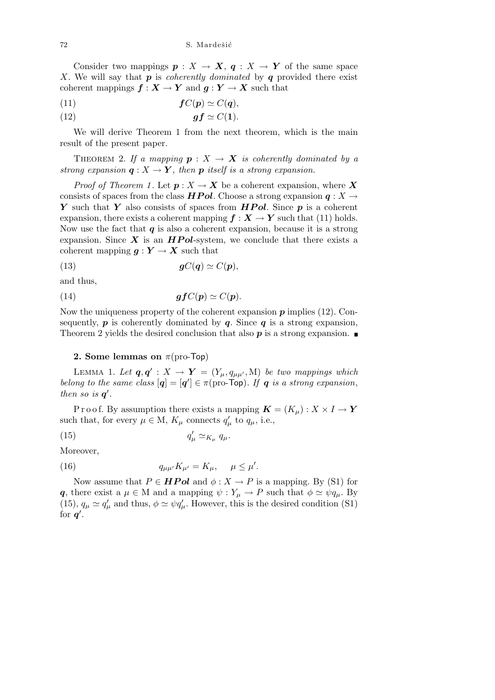Consider two mappings  $p: X \to X$ ,  $q: X \to Y$  of the same space *X*. We will say that *p* is *coherently dominated* by *q* provided there exist coherent mappings  $f: X \to Y$  and  $g: Y \to X$  such that

(11) *fC*(*p*) *' C*(*q*)*,*

(12) *gf ' C*(**1**)*.*

We will derive Theorem 1 from the next theorem, which is the main result of the present paper.

THEOREM 2. If a mapping  $p: X \rightarrow X$  is coherently dominated by a *strong expansion*  $q: X \to Y$ , *then*  $p$  *itself is a strong expansion.* 

*Proof of Theorem 1*. Let  $p: X \to X$  be a coherent expansion, where X consists of spaces from the class *HPol*. Choose a strong expansion  $q: X \rightarrow$ *Y* such that *Y* also consists of spaces from *HP ol*. Since *p* is a coherent expansion, there exists a coherent mapping  $f : X \to Y$  such that (11) holds. Now use the fact that  $q$  is also a coherent expansion, because it is a strong expansion. Since  $\boldsymbol{X}$  is an  $\boldsymbol{HPol}$ -system, we conclude that there exists a coherent mapping  $g: Y \to X$  such that

(13) *gC*(*q*) *' C*(*p*)*,*

and thus,

(14) 
$$
gfC(p) \simeq C(p).
$$

Now the uniqueness property of the coherent expansion *p* implies (12). Consequently,  $p$  is coherently dominated by  $q$ . Since  $q$  is a strong expansion, Theorem 2 yields the desired conclusion that also  $p$  is a strong expansion.

#### **2. Some lemmas on** *π*(pro-Top)

LEMMA 1. Let  $\boldsymbol{q}, \boldsymbol{q}' : X \to \boldsymbol{Y} = (Y_{\mu}, q_{\mu\mu'}, M)$  be two mappings which *belong to the same class*  $[q] = [q'] \in \pi$  (pro-Top). If q *is a strong expansion*, *then so is*  $q'$ .

P r o o f. By assumption there exists a mapping  $\mathbf{K} = (K_u): X \times I \to Y$ such that, for every  $\mu \in M$ ,  $K_{\mu}$  connects  $q'_{\mu}$  to  $q_{\mu}$ , i.e.,

 $\frac{\prime}{\mu} \simeq_{K_{\mu}} q_{\mu}.$ 

$$
(15) \t\t q
$$

Moreover,

(16) 
$$
q_{\mu\mu'}K_{\mu'}=K_{\mu}, \quad \mu \leq \mu'.
$$

Now assume that  $P \in \textbf{HPol}$  and  $\phi: X \to P$  is a mapping. By (S1) for *q*, there exist a  $\mu \in M$  and a mapping  $\psi : Y_{\mu} \to P$  such that  $\phi \simeq \psi q_{\mu}$ . By (15),  $q_{\mu} \simeq q'_{\mu}$  and thus,  $\phi \simeq \psi q'_{\mu}$ . However, this is the desired condition (S1) for  $q'$ .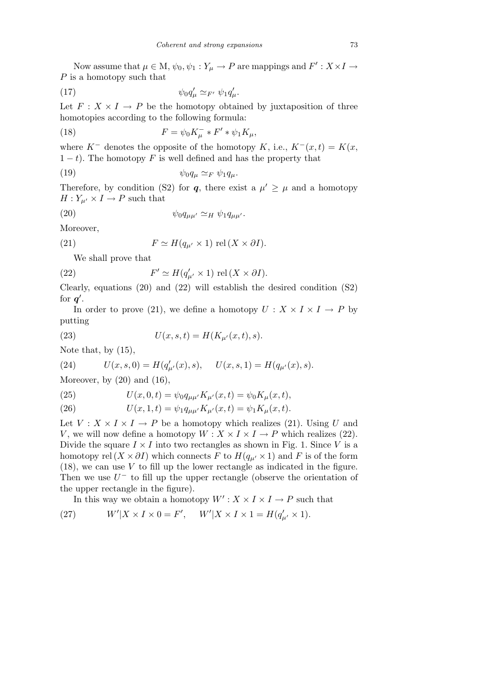Now assume that  $\mu \in M$ ,  $\psi_0, \psi_1 : Y_\mu \to P$  are mappings and  $F' : X \times I \to P$ *P* is a homotopy such that

$$
\psi_0 q'_\mu \simeq_{F'} \psi_1 q'_\mu.
$$

Let  $F: X \times I \rightarrow P$  be the homotopy obtained by juxtaposition of three homotopies according to the following formula:

(18) 
$$
F = \psi_0 K^-_{\mu} * F' * \psi_1 K_{\mu},
$$

where  $K^-$  denotes the opposite of the homotopy  $K$ , i.e.,  $K^-(x,t) = K(x,$  $1 - t$ ). The homotopy *F* is well defined and has the property that

(19) *ψ*0*q<sup>µ</sup> '<sup>F</sup> ψ*1*qµ.*

Therefore, by condition (S2) for *q*, there exist a  $\mu' \geq \mu$  and a homotopy  $H: Y_{\mu'} \times I \to P$  such that

$$
(20) \t\t\t \psi_0 q_{\mu\mu'} \simeq_H \psi_1 q_{\mu\mu'}.
$$

Moreover,

(21) 
$$
F \simeq H(q_{\mu'} \times 1) \text{ rel}(X \times \partial I).
$$

We shall prove that

(22) 
$$
F' \simeq H(q'_{\mu'} \times 1) \text{ rel}(X \times \partial I).
$$

Clearly, equations (20) and (22) will establish the desired condition (S2) for  $q'$ .

In order to prove (21), we define a homotopy  $U: X \times I \times I \to P$  by putting

(23) 
$$
U(x, s, t) = H(K_{\mu'}(x, t), s).
$$

Note that, by (15),

(24) 
$$
U(x, s, 0) = H(q'_{\mu'}(x), s), \quad U(x, s, 1) = H(q_{\mu'}(x), s).
$$

Moreover, by  $(20)$  and  $(16)$ ,

(25) 
$$
U(x,0,t) = \psi_0 q_{\mu\mu'} K_{\mu'}(x,t) = \psi_0 K_{\mu}(x,t),
$$

(26) 
$$
U(x, 1, t) = \psi_1 q_{\mu\mu'} K_{\mu'}(x, t) = \psi_1 K_{\mu}(x, t).
$$

Let  $V: X \times I \times I \rightarrow P$  be a homotopy which realizes (21). Using *U* and *V*, we will now define a homotopy  $W: X \times I \times I \to P$  which realizes (22). Divide the square  $I \times I$  into two rectangles as shown in Fig. 1. Since *V* is a homotopy rel  $(X \times \partial I)$  which connects *F* to  $H(q_{\mu'} \times 1)$  and *F* is of the form (18), we can use *V* to fill up the lower rectangle as indicated in the figure. Then we use  $U^-$  to fill up the upper rectangle (observe the orientation of the upper rectangle in the figure).

In this way we obtain a homotopy  $W' : X \times I \times I \to P$  such that

(27) 
$$
W'|X \times I \times 0 = F', \quad W'|X \times I \times 1 = H(q'_{\mu'} \times 1).
$$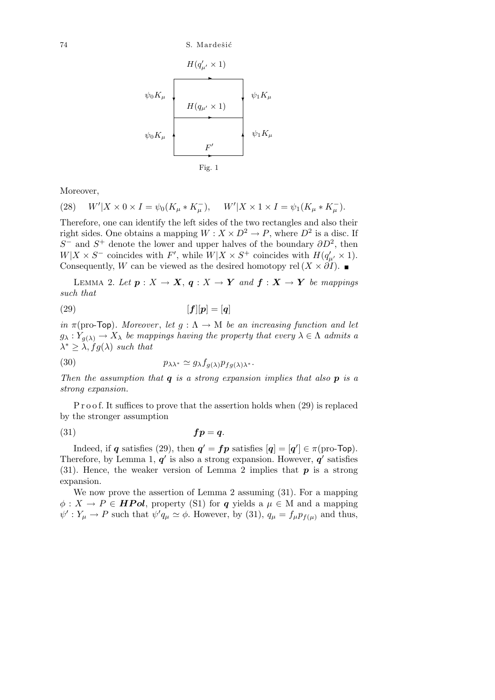$$
\psi_0 K_\mu
$$
\n
$$
\psi_0 K_\mu
$$
\n
$$
H(q_{\mu'} \times 1)
$$
\n
$$
\psi_1 K_\mu
$$
\n
$$
F'
$$
\n
$$
F'
$$
\n
$$
Fig. 1
$$

Moreover,

(28) 
$$
W'|X \times 0 \times I = \psi_0(K_\mu * K_\mu^-), \quad W'|X \times 1 \times I = \psi_1(K_\mu * K_\mu^-).
$$

Therefore, one can identify the left sides of the two rectangles and also their right sides. One obtains a mapping  $W: X \times D^2 \to P$ , where  $D^2$  is a disc. If  $S^-$  and  $S^+$  denote the lower and upper halves of the boundary  $\partial D^2$ , then  $W|X \times S^-$  coincides with *F*<sup>'</sup>, while  $W|X \times S^+$  coincides with  $H(q'_{\mu'} \times 1)$ . Consequently, *W* can be viewed as the desired homotopy rel  $(X \times \partial I)$ .

LEMMA 2. Let  $p: X \to X$ ,  $q: X \to Y$  and  $f: X \to Y$  be mappings *such that*

$$
(29) \t\t [f][p] = [q]
$$

*in*  $\pi$ (pro-Top)*. Moreover*, *let*  $g : \Lambda \to M$  *be an increasing function and let*  $g_{\lambda}: Y_{g(\lambda)} \to X_{\lambda}$  *be mappings having the property that every*  $\lambda \in \Lambda$  *admits a*  $\lambda^* \geq \lambda$ ,  $fg(\lambda)$  *such that* 

(30) 
$$
p_{\lambda\lambda^*} \simeq g_{\lambda} f_{g(\lambda)} p_{fg(\lambda)\lambda^*}.
$$

*Then the assumption that q is a strong expansion implies that also p is a strong expansion.*

P r o o f. It suffices to prove that the assertion holds when (29) is replaced by the stronger assumption

(31) *fp* = *q.*

Indeed, if *q* satisfies (29), then  $q' = fp$  satisfies  $[q] = [q'] \in \pi$  (pro-Top). Therefore, by Lemma 1,  $q'$  is also a strong expansion. However,  $q'$  satisfies (31). Hence, the weaker version of Lemma 2 implies that *p* is a strong expansion.

We now prove the assertion of Lemma 2 assuming (31). For a mapping  $\phi: X \to P \in \textbf{HPol}$ , property (S1) for *q* yields a  $\mu \in M$  and a mapping  $\psi': Y_\mu \to P$  such that  $\psi' q_\mu \simeq \phi$ . However, by (31),  $q_\mu = f_\mu p_{f(\mu)}$  and thus,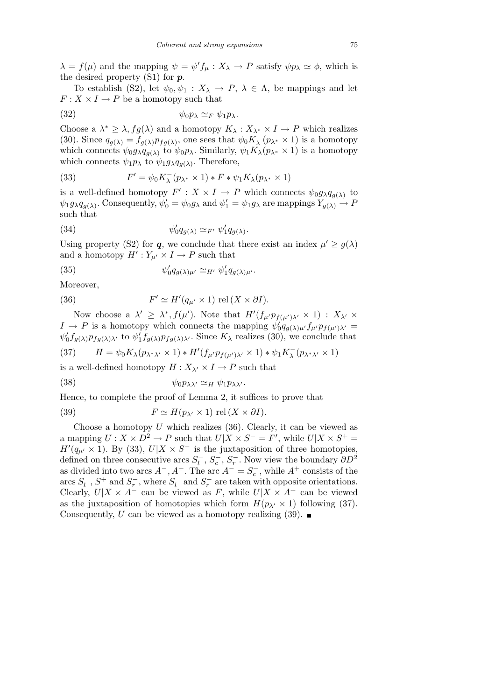$\lambda = f(\mu)$  and the mapping  $\psi = \psi' f_\mu : X_\lambda \to P$  satisfy  $\psi p_\lambda \simeq \phi$ , which is the desired property (S1) for *p*.

To establish (S2), let  $\psi_0, \psi_1 : X_\lambda \to P$ ,  $\lambda \in \Lambda$ , be mappings and let  $F: X \times I \rightarrow P$  be a homotopy such that

$$
(32) \t\t\t \psi_0 p_\lambda \simeq_F \psi_1 p_\lambda.
$$

Choose a  $\lambda^* \geq \lambda$ ,  $fg(\lambda)$  and a homotopy  $K_{\lambda}: X_{\lambda^*} \times I \to P$  which realizes (30). Since  $q_{g(\lambda)} = f_{g(\lambda)} p_{fg(\lambda)}$ , one sees that  $\psi_0 K_\lambda^-(p_{\lambda^*} \times 1)$  is a homotopy which connects  $\psi_0 g_\lambda q_{g(\lambda)}$  to  $\psi_0 p_\lambda$ . Similarly,  $\psi_1 K_\lambda (p_{\lambda^*} \times 1)$  is a homotopy which connects  $\psi_1 p_\lambda$  to  $\psi_1 g_\lambda q_{g(\lambda)}$ . Therefore,

(33) 
$$
F' = \psi_0 K_\lambda^-(p_{\lambda^*} \times 1) * F * \psi_1 K_\lambda(p_{\lambda^*} \times 1)
$$

is a well-defined homotopy  $F' : X \times I \to P$  which connects  $\psi_0 g_\lambda q_{g(\lambda)}$  to  $\psi_1 g_{\lambda} q_{g(\lambda)}$ . Consequently,  $\psi'_0 = \psi_0 g_{\lambda}$  and  $\psi'_1 = \psi_1 g_{\lambda}$  are mappings  $Y_{g(\lambda)} \to P$ such that

(34) 
$$
\psi'_0 q_{g(\lambda)} \simeq_{F'} \psi'_1 q_{g(\lambda)}.
$$

Using property (S2) for *q*, we conclude that there exist an index  $\mu' \geq g(\lambda)$ and a homotopy  $H' : Y_{\mu'} \times I \to P$  such that

(35) 
$$
\psi_0' q_{g(\lambda)\mu'} \simeq_{H'} \psi_1' q_{g(\lambda)\mu'}.
$$

Moreover,

(36) 
$$
F' \simeq H'(q_{\mu'} \times 1) \text{ rel}(X \times \partial I).
$$

Now choose a  $\lambda' \geq \lambda^*, f(\mu')$ . Note that  $H'(f_{\mu'}p_{f(\mu')\lambda'} \times 1) : X_{\lambda'} \times$  $I \rightarrow P$  is a homotopy which connects the mapping  $\psi'_0 q_{g(\lambda)\mu'} f_{\mu'} p_{f(\mu')\lambda'} =$  $\psi_0' f_{g(\lambda)} p_{fg(\lambda)\lambda'}$  to  $\psi_1' f_{g(\lambda)} p_{fg(\lambda)\lambda'}$ . Since  $K_\lambda$  realizes (30), we conclude that

(37) 
$$
H = \psi_0 K_\lambda (p_{\lambda^*\lambda'} \times 1) * H'(f_{\mu'} p_{f(\mu')\lambda'} \times 1) * \psi_1 K_\lambda^-(p_{\lambda^*\lambda'} \times 1)
$$

is a well-defined homotopy  $H: X_{\lambda'} \times I \to P$  such that

$$
\psi_0 p_{\lambda \lambda'} \simeq_H \psi_1 p_{\lambda \lambda'}.
$$

Hence, to complete the proof of Lemma 2, it suffices to prove that

(39) 
$$
F \simeq H(p_{\lambda'} \times 1) \text{ rel}(X \times \partial I).
$$

Choose a homotopy *U* which realizes (36). Clearly, it can be viewed as a mapping  $U: X \times D^2 \to P$  such that  $U|X \times S^- = F'$ , while  $U|X \times S^+ =$  $H'(q_{\mu'} \times 1)$ . By (33),  $U|X \times S^-$  is the juxtaposition of three homotopies, defined on three consecutive arcs  $S_l^-, S_c^-, S_r^-$ . Now view the boundary  $\partial D^2$ as divided into two arcs  $A^-$ ,  $A^+$ . The arc  $A^- = S_c^-$ , while  $A^+$  consists of the arcs  $S_l^-$ ,  $S^+$  and  $S_r^-$ , where  $S_l^-$  and  $S_r^-$  are taken with opposite orientations. Clearly,  $U|X \times A^-$  can be viewed as *F*, while  $U|X \times A^+$  can be viewed as the juxtaposition of homotopies which form  $H(p_{\lambda'} \times 1)$  following (37). Consequently, *U* can be viewed as a homotopy realizing  $(39)$ .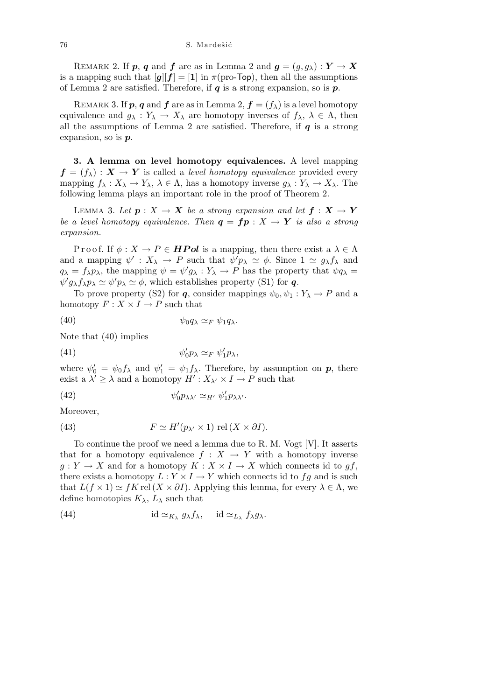REMARK 2. If *p*, *q* and *f* are as in Lemma 2 and  $g = (g, g_\lambda) : Y \to X$ is a mapping such that  $[g][f] = [1]$  in  $\pi$ (pro-Top), then all the assumptions of Lemma 2 are satisfied. Therefore, if *q* is a strong expansion, so is *p*.

REMARK 3. If  $p, q$  and  $f$  are as in Lemma 2,  $f = (f_\lambda)$  is a level homotopy equivalence and  $g_{\lambda}: Y_{\lambda} \to X_{\lambda}$  are homotopy inverses of  $f_{\lambda}, \lambda \in \Lambda$ , then all the assumptions of Lemma 2 are satisfied. Therefore, if  $q$  is a strong expansion, so is *p*.

**3. A lemma on level homotopy equivalences.** A level mapping  $f = (f_{\lambda}) : X \rightarrow Y$  is called a *level homotopy equivalence* provided every mapping  $f_{\lambda}: X_{\lambda} \to Y_{\lambda}, \lambda \in \Lambda$ , has a homotopy inverse  $g_{\lambda}: Y_{\lambda} \to X_{\lambda}$ . The following lemma plays an important role in the proof of Theorem 2.

LEMMA 3. Let  $p: X \to X$  be a strong expansion and let  $f: X \to Y$ *be a level homotopy equivalence. Then*  $q = fp : X \rightarrow Y$  *is also a strong expansion.*

Proof. If  $\phi: X \to P \in \textbf{HPol}$  is a mapping, then there exist a  $\lambda \in \Lambda$ and a mapping  $\psi' : X_{\lambda} \to P$  such that  $\psi' p_{\lambda} \simeq \phi$ . Since  $1 \simeq g_{\lambda} f_{\lambda}$  and  $q_{\lambda} = f_{\lambda} p_{\lambda}$ , the mapping  $\psi = \psi' g_{\lambda} : Y_{\lambda} \to P$  has the property that  $\psi q_{\lambda} =$  $\psi' g_{\lambda} f_{\lambda} p_{\lambda} \simeq \psi' p_{\lambda} \simeq \phi$ , which establishes property (S1) for *q*.

To prove property (S2) for *q*, consider mappings  $\psi_0, \psi_1 : Y_\lambda \to P$  and a homotopy  $F: X \times I \rightarrow P$  such that

$$
\psi_0 q_\lambda \simeq_F \psi_1 q_\lambda.
$$

Note that (40) implies

(41) 
$$
\psi'_0 p_\lambda \simeq_F \psi'_1 p_\lambda,
$$

where  $\psi_0' = \psi_0 f_\lambda$  and  $\psi_1' = \psi_1 f_\lambda$ . Therefore, by assumption on  $p$ , there exist a  $\lambda' \geq \lambda$  and a homotopy  $H' : X_{\lambda'} \times I \to P$  such that

(42) 
$$
\psi'_0 p_{\lambda \lambda'} \simeq_{H'} \psi'_1 p_{\lambda \lambda'}.
$$

Moreover,

(43) 
$$
F \simeq H'(p_{\lambda'} \times 1) \text{ rel}(X \times \partial I).
$$

To continue the proof we need a lemma due to R. M. Vogt [V]. It asserts that for a homotopy equivalence  $f : X \to Y$  with a homotopy inverse  $g: Y \to X$  and for a homotopy  $K: X \times I \to X$  which connects id to  $gf$ , there exists a homotopy  $L: Y \times I \rightarrow Y$  which connects id to  $fg$  and is such that  $L(f \times 1) \simeq fK$  rel  $(X \times \partial I)$ . Applying this lemma, for every  $\lambda \in \Lambda$ , we define homotopies  $K_{\lambda}$ ,  $L_{\lambda}$  such that

(44) 
$$
\mathrm{id} \simeq_{K_{\lambda}} g_{\lambda} f_{\lambda}, \quad \mathrm{id} \simeq_{L_{\lambda}} f_{\lambda} g_{\lambda}.
$$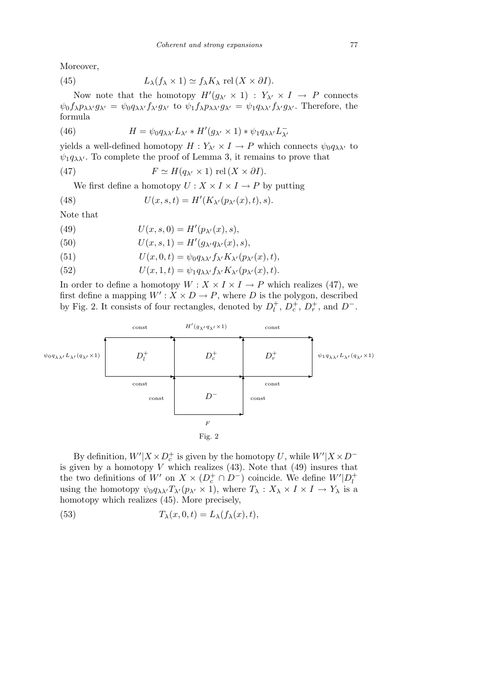Moreover,

(45) 
$$
L_{\lambda}(f_{\lambda} \times 1) \simeq f_{\lambda} K_{\lambda} \text{ rel}(X \times \partial I).
$$

Now note that the homotopy  $H'(g_{\lambda'} \times 1) : Y_{\lambda'} \times I \to P$  connects  $\psi_0 f_\lambda p_{\lambda \lambda'} g_{\lambda'} = \psi_0 q_{\lambda \lambda'} f_{\lambda'} g_{\lambda'}$  to  $\psi_1 f_\lambda p_{\lambda \lambda'} g_{\lambda'} = \psi_1 q_{\lambda \lambda'} f_{\lambda'} g_{\lambda'}$ . Therefore, the formula

(46) 
$$
H = \psi_0 q_{\lambda \lambda'} L_{\lambda'} * H'(g_{\lambda'} \times 1) * \psi_1 q_{\lambda \lambda'} L_{\lambda'}^-
$$

yields a well-defined homotopy  $H: Y_{\lambda'} \times I \to P$  which connects  $\psi_0 q_{\lambda \lambda'}$  to  $\psi_1 q_{\lambda \lambda'}$ . To complete the proof of Lemma 3, it remains to prove that

(47) 
$$
F \simeq H(q_{\lambda'} \times 1) \text{ rel}(X \times \partial I).
$$

We first define a homotopy  $U: X \times I \times I \to P$  by putting

(48) 
$$
U(x, s, t) = H'(K_{\lambda'}(p_{\lambda'}(x), t), s).
$$

Note that

(49) 
$$
U(x, s, 0) = H'(p_{\lambda'}(x), s),
$$

- (50)  $U(x, s, 1) = H'(g_{\lambda'}q_{\lambda'}(x), s),$
- (51)  $U(x, 0, t) = \psi_0 q_{\lambda \lambda'} f_{\lambda'} K_{\lambda'} (p_{\lambda'}(x), t),$

(52) 
$$
U(x,1,t) = \psi_1 q_{\lambda \lambda'} f_{\lambda'} K_{\lambda'} (p_{\lambda'}(x),t).
$$

In order to define a homotopy  $W : X \times I \times I \to P$  which realizes (47), we first define a mapping  $W'$ :  $X \times D \rightarrow P$ , where *D* is the polygon, described by Fig. 2. It consists of four rectangles, denoted by  $D_l^+$ ,  $D_c^+$ ,  $D_r^+$ , and  $D^-$ .



By definition,  $W'|X \times D_c^+$  is given by the homotopy *U*, while  $W'|X \times D^$ is given by a homotopy  $V$  which realizes  $(43)$ . Note that  $(49)$  insures that the two definitions of  $W'$  on  $X \times (D_c^+ \cap D^-)$  coincide. We define  $W' | D_l^+$ using the homotopy  $\psi_0 q_{\lambda \lambda'} T_{\lambda'} (p_{\lambda'} \times 1)$ , where  $T_{\lambda} : X_{\lambda} \times I \times I \to Y_{\lambda}$  is a homotopy which realizes (45). More precisely,

(53) 
$$
T_{\lambda}(x,0,t) = L_{\lambda}(f_{\lambda}(x),t),
$$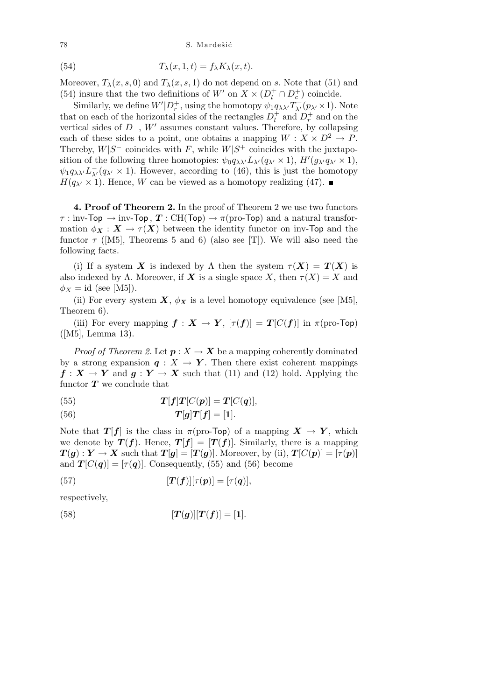78 S. Mardešić

(54) 
$$
T_{\lambda}(x, 1, t) = f_{\lambda} K_{\lambda}(x, t).
$$

Moreover,  $T_{\lambda}(x, s, 0)$  and  $T_{\lambda}(x, s, 1)$  do not depend on *s*. Note that (51) and (54) insure that the two definitions of  $W'$  on  $X \times (D_i^+ \cap D_c^+)$  coincide.

Similarly, we define  $W'|D^+_r$ , using the homotopy  $\psi_1 q_{\lambda \lambda'} T_{\lambda'}^-(p_{\lambda'} \times 1)$ . Note that on each of the horizontal sides of the rectangles  $D_l^+$  and  $D_r^+$  and on the vertical sides of *D−*, *W<sup>0</sup>* assumes constant values. Therefore, by collapsing each of these sides to a point, one obtains a mapping  $W: X \times D^2 \to P$ . Thereby,  $W|S^-$  coincides with *F*, while  $W|S^+$  coincides with the juxtaposition of the following three homotopies:  $\psi_0 q_{\lambda\lambda'} L_{\lambda'}(q_{\lambda'} \times 1), H'(g_{\lambda'} q_{\lambda'} \times 1),$  $\psi_1 q_{\lambda\lambda} L_{\lambda'}^- (q_{\lambda'} \times 1)$ . However, according to (46), this is just the homotopy  $H(q_{\lambda'} \times 1)$ . Hence, *W* can be viewed as a homotopy realizing (47).

**4. Proof of Theorem 2.** In the proof of Theorem 2 we use two functors *τ* : inv-Top  $\rightarrow$  inv-Top, *T* : CH(Top)  $\rightarrow \pi$ (pro-Top) and a natural transformation  $\phi_X : X \to \tau(X)$  between the identity functor on inv-Top and the functor  $\tau$  ([M5], Theorems 5 and 6) (also see [T]). We will also need the following facts.

(i) If a system *X* is indexed by  $\Lambda$  then the system  $\tau(X) = T(X)$  is also indexed by  $\Lambda$ . Moreover, if **X** is a single space X, then  $\tau(X) = X$  and  $\phi_X = id$  (see [M5]).

(ii) For every system  $\mathbf{X}, \phi_{\mathbf{X}}$  is a level homotopy equivalence (see [M5], Theorem 6).

(iii) For every mapping  $f : X \to Y$ ,  $[\tau(f)] = T[C(f)]$  in  $\pi$ (pro-Top) ([M5], Lemma 13).

*Proof of Theorem 2.* Let  $p: X \to X$  be a mapping coherently dominated by a strong expansion  $q: X \to Y$ . Then there exist coherent mappings  $f: X \to Y$  and  $g: Y \to X$  such that (11) and (12) hold. Applying the functor  $T$  we conclude that

(55) 
$$
T[f]T[C(p)] = T[C(q)],
$$

$$
(56) \t\t T[g]T[f] = [1].
$$

Note that *T*[*f*] is the class in  $\pi$ (pro-Top) of a mapping  $X \to Y$ , which we denote by  $T(f)$ . Hence,  $T[f] = [T(f)]$ . Similarly, there is a mapping  $T(g): Y \to X$  such that  $T[g] = [T(g)]$ . Moreover, by (ii),  $T[C(p)] = [\tau(p)]$ and  $T[C(q)] = [\tau(q)]$ . Consequently, (55) and (56) become

(57) 
$$
[\boldsymbol{T}(\boldsymbol{f})][\tau(\boldsymbol{p})]=[\tau(\boldsymbol{q})],
$$

respectively,

(58) 
$$
[T(g)][T(f)] = [1].
$$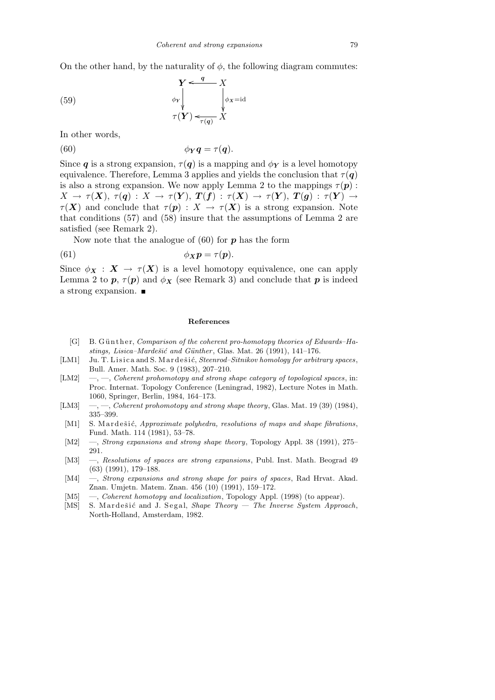On the other hand, by the naturality of  $\phi$ , the following diagram commutes:

 $\phi_X = id$ ²²

(59) 
$$
\begin{array}{ccc}\nY < & q < X \\
\phi_Y & & \downarrow & \downarrow \\
\tau(Y) < & \tau(q) & X\n\end{array}
$$

In other words,

(60) 
$$
\phi_Y q = \tau(q).
$$

Since *q* is a strong expansion,  $\tau(q)$  is a mapping and  $\phi_Y$  is a level homotopy equivalence. Therefore, Lemma 3 applies and yields the conclusion that  $\tau(\mathbf{q})$ is also a strong expansion. We now apply Lemma 2 to the mappings  $\tau(\mathbf{p})$ :  $X \rightarrow \tau(X), \tau(q) : X \rightarrow \tau(Y), T(f) : \tau(X) \rightarrow \tau(Y), T(g) : \tau(Y) \rightarrow$  $\tau(X)$  and conclude that  $\tau(p): X \to \tau(X)$  is a strong expansion. Note that conditions (57) and (58) insure that the assumptions of Lemma 2 are satisfied (see Remark 2).

Now note that the analogue of (60) for *p* has the form

(61) 
$$
\phi_{\boldsymbol{X}}\boldsymbol{p} = \tau(\boldsymbol{p}).
$$

Since  $\phi_X : X \to \tau(X)$  is a level homotopy equivalence, one can apply Lemma 2 to  $p, \tau(p)$  and  $\phi_X$  (see Remark 3) and conclude that  $p$  is indeed a strong expansion.

#### **References**

- [G] B. Günther, *Comparison of the coherent pro-homotopy theories of Edwards–Hastings, Lisica–Mardešić and Günther*, Glas. Mat. 26 (1991), 141–176.
- [LM1] Ju. T. Lisica and S. Mardešić, *Steenrod–Sitnikov homology for arbitrary spaces*, Bull. Amer. Math. Soc. 9 (1983), 207–210.
- [LM2] —, —, *Coherent prohomotopy and strong shape category of topological spaces*, in: Proc. Internat. Topology Conference (Leningrad, 1982), Lecture Notes in Math. 1060, Springer, Berlin, 1984, 164–173.
- [LM3] —, —, *Coherent prohomotopy and strong shape theory*, Glas. Mat. 19 (39) (1984), 335–399.
- [M1] S. Mardešić, *Approximate polyhedra, resolutions of maps and shape fibrations*, Fund. Math. 114 (1981), 53–78.
- [M2] —, *Strong expansions and strong shape theory*, Topology Appl. 38 (1991), 275– 291.
- [M3] —, *Resolutions of spaces are strong expansions*, Publ. Inst. Math. Beograd 49 (63) (1991), 179–188.
- [M4] —, *Strong expansions and strong shape for pairs of spaces*, Rad Hrvat. Akad. Znan. Umjetn. Matem. Znan. 456 (10) (1991), 159–172.
- [M5] —, *Coherent homotopy and localization*, Topology Appl. (1998) (to appear).
- [MS] S. Mardešić and J. Segal, *Shape Theory The Inverse System Approach*, North-Holland, Amsterdam, 1982.